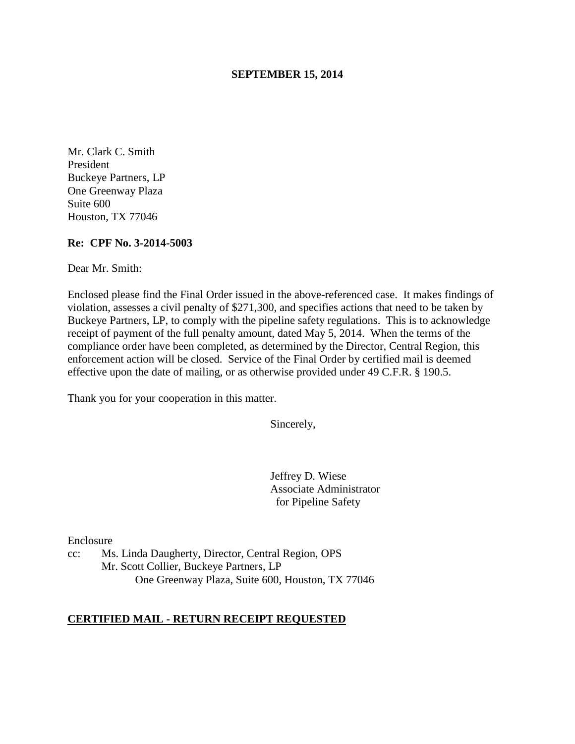#### **SEPTEMBER 15, 2014**

Mr. Clark C. Smith President Buckeye Partners, LP One Greenway Plaza Suite 600 Houston, TX 77046

#### **Re: CPF No. 3-2014-5003**

Dear Mr. Smith:

Enclosed please find the Final Order issued in the above-referenced case. It makes findings of violation, assesses a civil penalty of \$271,300, and specifies actions that need to be taken by Buckeye Partners, LP, to comply with the pipeline safety regulations. This is to acknowledge receipt of payment of the full penalty amount, dated May 5, 2014. When the terms of the compliance order have been completed, as determined by the Director, Central Region, this enforcement action will be closed. Service of the Final Order by certified mail is deemed effective upon the date of mailing, or as otherwise provided under 49 C.F.R. § 190.5.

Thank you for your cooperation in this matter.

Sincerely,

Jeffrey D. Wiese Associate Administrator for Pipeline Safety

Enclosure

cc: Ms. Linda Daugherty, Director, Central Region, OPS Mr. Scott Collier, Buckeye Partners, LP One Greenway Plaza, Suite 600, Houston, TX 77046

### **CERTIFIED MAIL - RETURN RECEIPT REQUESTED**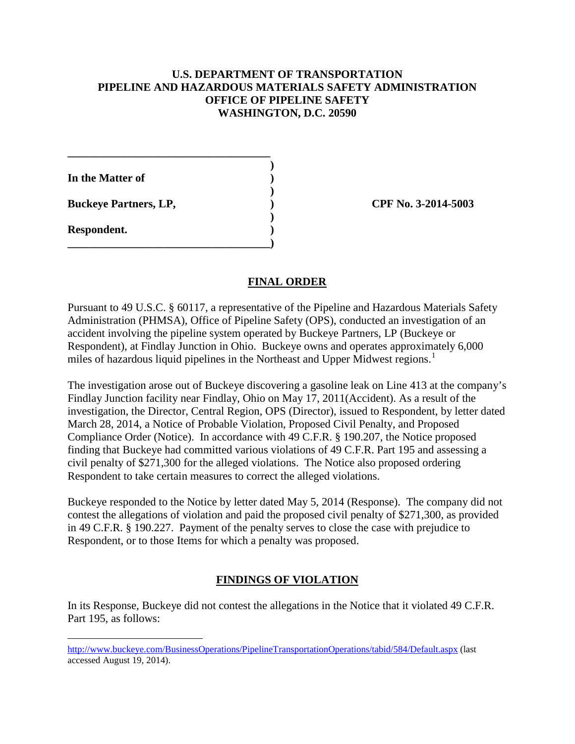## **U.S. DEPARTMENT OF TRANSPORTATION PIPELINE AND HAZARDOUS MATERIALS SAFETY ADMINISTRATION OFFICE OF PIPELINE SAFETY WASHINGTON, D.C. 20590**

**In the Matter of )** 

**Buckeye Partners, LP,**  (2014-5003)

**\_\_\_\_\_\_\_\_\_\_\_\_\_\_\_\_\_\_\_\_\_\_\_\_\_\_\_\_\_\_\_\_\_\_\_\_ )** 

 **)** 

 **)** 

**\_\_\_\_\_\_\_\_\_\_\_\_\_\_\_\_\_\_\_\_\_\_\_\_\_\_\_\_\_\_\_\_\_\_\_\_)** 

**Respondent. )** 

 $\overline{a}$ 

# **FINAL ORDER**

Pursuant to 49 U.S.C. § 60117, a representative of the Pipeline and Hazardous Materials Safety Administration (PHMSA), Office of Pipeline Safety (OPS), conducted an investigation of an accident involving the pipeline system operated by Buckeye Partners, LP (Buckeye or Respondent), at Findlay Junction in Ohio. Buckeye owns and operates approximately 6,000 miles of hazardous liquid pipelines in the Northeast and Upper Midwest regions.<sup>1</sup>

The investigation arose out of Buckeye discovering a gasoline leak on Line 413 at the company's Findlay Junction facility near Findlay, Ohio on May 17, 2011(Accident). As a result of the investigation, the Director, Central Region, OPS (Director), issued to Respondent, by letter dated March 28, 2014, a Notice of Probable Violation, Proposed Civil Penalty, and Proposed Compliance Order (Notice). In accordance with 49 C.F.R. § 190.207, the Notice proposed finding that Buckeye had committed various violations of 49 C.F.R. Part 195 and assessing a civil penalty of \$271,300 for the alleged violations. The Notice also proposed ordering Respondent to take certain measures to correct the alleged violations.

Buckeye responded to the Notice by letter dated May 5, 2014 (Response). The company did not contest the allegations of violation and paid the proposed civil penalty of \$271,300, as provided in 49 C.F.R. § 190.227. Payment of the penalty serves to close the case with prejudice to Respondent, or to those Items for which a penalty was proposed.

# **FINDINGS OF VIOLATION**

In its Response, Buckeye did not contest the allegations in the Notice that it violated 49 C.F.R. Part 195, as follows:

http://www.buckeye.com/BusinessOperations/PipelineTransportationOperations/tabid/584/Default.aspx (last accessed August 19, 2014).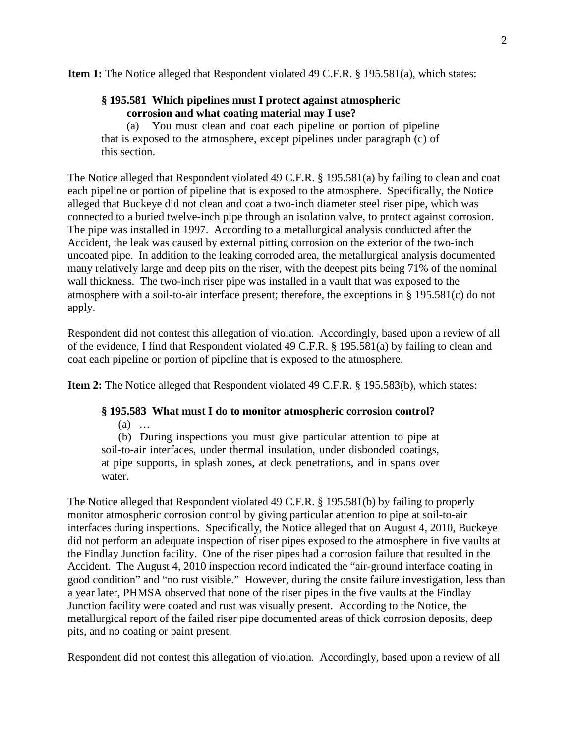**Item 1:** The Notice alleged that Respondent violated 49 C.F.R. § 195.581(a), which states:

## **§ 195.581 Which pipelines must I protect against atmospheric corrosion and what coating material may I use?**

(a) You must clean and coat each pipeline or portion of pipeline that is exposed to the atmosphere, except pipelines under paragraph (c) of this section.

The Notice alleged that Respondent violated 49 C.F.R. § 195.581(a) by failing to clean and coat each pipeline or portion of pipeline that is exposed to the atmosphere. Specifically, the Notice alleged that Buckeye did not clean and coat a two-inch diameter steel riser pipe, which was connected to a buried twelve-inch pipe through an isolation valve, to protect against corrosion. The pipe was installed in 1997. According to a metallurgical analysis conducted after the Accident, the leak was caused by external pitting corrosion on the exterior of the two-inch uncoated pipe. In addition to the leaking corroded area, the metallurgical analysis documented many relatively large and deep pits on the riser, with the deepest pits being 71% of the nominal wall thickness. The two-inch riser pipe was installed in a vault that was exposed to the atmosphere with a soil-to-air interface present; therefore, the exceptions in § 195.581(c) do not apply.

Respondent did not contest this allegation of violation. Accordingly, based upon a review of all of the evidence, I find that Respondent violated 49 C.F.R. § 195.581(a) by failing to clean and coat each pipeline or portion of pipeline that is exposed to the atmosphere.

**Item 2:** The Notice alleged that Respondent violated 49 C.F.R. § 195.583(b), which states:

# **§ 195.583 What must I do to monitor atmospheric corrosion control?**

(a) …

 (b) During inspections you must give particular attention to pipe at soil-to-air interfaces, under thermal insulation, under disbonded coatings, at pipe supports, in splash zones, at deck penetrations, and in spans over water.

The Notice alleged that Respondent violated 49 C.F.R. § 195.581(b) by failing to properly monitor atmospheric corrosion control by giving particular attention to pipe at soil-to-air interfaces during inspections. Specifically, the Notice alleged that on August 4, 2010, Buckeye did not perform an adequate inspection of riser pipes exposed to the atmosphere in five vaults at the Findlay Junction facility. One of the riser pipes had a corrosion failure that resulted in the Accident. The August 4, 2010 inspection record indicated the "air-ground interface coating in good condition" and "no rust visible." However, during the onsite failure investigation, less than a year later, PHMSA observed that none of the riser pipes in the five vaults at the Findlay Junction facility were coated and rust was visually present. According to the Notice, the metallurgical report of the failed riser pipe documented areas of thick corrosion deposits, deep pits, and no coating or paint present.

Respondent did not contest this allegation of violation. Accordingly, based upon a review of all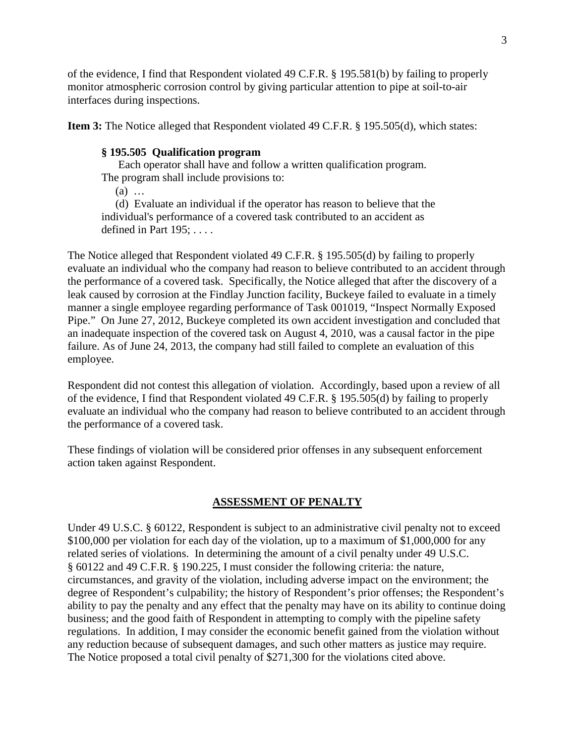of the evidence, I find that Respondent violated 49 C.F.R. § 195.581(b) by failing to properly monitor atmospheric corrosion control by giving particular attention to pipe at soil-to-air interfaces during inspections.

**Item 3:** The Notice alleged that Respondent violated 49 C.F.R. § 195.505(d), which states:

### **§ 195.505 Qualification program**

 Each operator shall have and follow a written qualification program. The program shall include provisions to:

(a) …

 (d) Evaluate an individual if the operator has reason to believe that the individual's performance of a covered task contributed to an accident as defined in Part 195; . . . .

The Notice alleged that Respondent violated 49 C.F.R. § 195.505(d) by failing to properly evaluate an individual who the company had reason to believe contributed to an accident through the performance of a covered task. Specifically, the Notice alleged that after the discovery of a leak caused by corrosion at the Findlay Junction facility, Buckeye failed to evaluate in a timely manner a single employee regarding performance of Task 001019, "Inspect Normally Exposed Pipe." On June 27, 2012, Buckeye completed its own accident investigation and concluded that an inadequate inspection of the covered task on August 4, 2010, was a causal factor in the pipe failure. As of June 24, 2013, the company had still failed to complete an evaluation of this employee.

Respondent did not contest this allegation of violation. Accordingly, based upon a review of all of the evidence, I find that Respondent violated 49 C.F.R. § 195.505(d) by failing to properly evaluate an individual who the company had reason to believe contributed to an accident through the performance of a covered task.

These findings of violation will be considered prior offenses in any subsequent enforcement action taken against Respondent.

### **ASSESSMENT OF PENALTY**

Under 49 U.S.C. § 60122, Respondent is subject to an administrative civil penalty not to exceed \$100,000 per violation for each day of the violation, up to a maximum of \$1,000,000 for any related series of violations. In determining the amount of a civil penalty under 49 U.S.C. § 60122 and 49 C.F.R. § 190.225, I must consider the following criteria: the nature, circumstances, and gravity of the violation, including adverse impact on the environment; the degree of Respondent's culpability; the history of Respondent's prior offenses; the Respondent's ability to pay the penalty and any effect that the penalty may have on its ability to continue doing business; and the good faith of Respondent in attempting to comply with the pipeline safety regulations. In addition, I may consider the economic benefit gained from the violation without any reduction because of subsequent damages, and such other matters as justice may require. The Notice proposed a total civil penalty of \$271,300 for the violations cited above.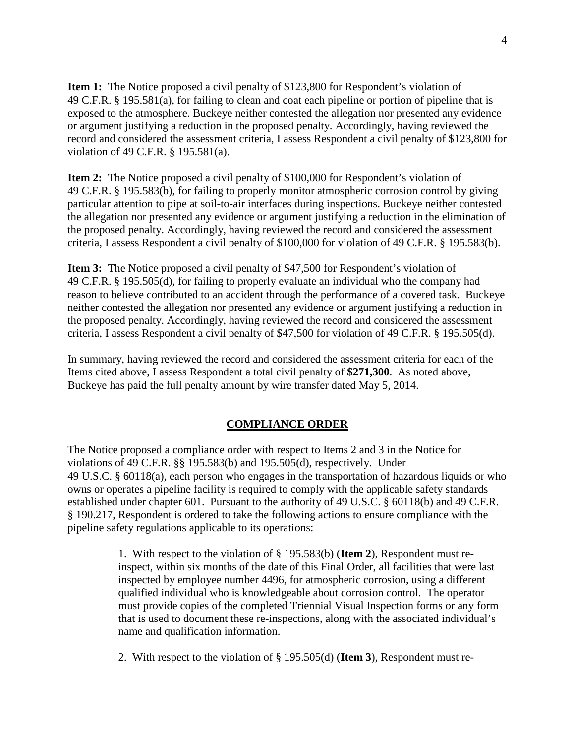**Item 1:** The Notice proposed a civil penalty of \$123,800 for Respondent's violation of 49 C.F.R. § 195.581(a), for failing to clean and coat each pipeline or portion of pipeline that is exposed to the atmosphere. Buckeye neither contested the allegation nor presented any evidence or argument justifying a reduction in the proposed penalty. Accordingly, having reviewed the record and considered the assessment criteria, I assess Respondent a civil penalty of \$123,800 for violation of 49 C.F.R. § 195.581(a).

**Item 2:** The Notice proposed a civil penalty of \$100,000 for Respondent's violation of 49 C.F.R. § 195.583(b), for failing to properly monitor atmospheric corrosion control by giving particular attention to pipe at soil-to-air interfaces during inspections. Buckeye neither contested the allegation nor presented any evidence or argument justifying a reduction in the elimination of the proposed penalty. Accordingly, having reviewed the record and considered the assessment criteria, I assess Respondent a civil penalty of \$100,000 for violation of 49 C.F.R. § 195.583(b).

**Item 3:** The Notice proposed a civil penalty of \$47,500 for Respondent's violation of 49 C.F.R. § 195.505(d), for failing to properly evaluate an individual who the company had reason to believe contributed to an accident through the performance of a covered task. Buckeye neither contested the allegation nor presented any evidence or argument justifying a reduction in the proposed penalty. Accordingly, having reviewed the record and considered the assessment criteria, I assess Respondent a civil penalty of \$47,500 for violation of 49 C.F.R. § 195.505(d).

In summary, having reviewed the record and considered the assessment criteria for each of the Items cited above, I assess Respondent a total civil penalty of **\$271,300**. As noted above, Buckeye has paid the full penalty amount by wire transfer dated May 5, 2014.

# **COMPLIANCE ORDER**

The Notice proposed a compliance order with respect to Items 2 and 3 in the Notice for violations of 49 C.F.R. §§ 195.583(b) and 195.505(d), respectively. Under 49 U.S.C. § 60118(a), each person who engages in the transportation of hazardous liquids or who owns or operates a pipeline facility is required to comply with the applicable safety standards established under chapter 601. Pursuant to the authority of 49 U.S.C. § 60118(b) and 49 C.F.R. § 190.217, Respondent is ordered to take the following actions to ensure compliance with the pipeline safety regulations applicable to its operations:

> 1. With respect to the violation of § 195.583(b) (**Item 2**), Respondent must reinspect, within six months of the date of this Final Order, all facilities that were last inspected by employee number 4496, for atmospheric corrosion, using a different qualified individual who is knowledgeable about corrosion control. The operator must provide copies of the completed Triennial Visual Inspection forms or any form that is used to document these re-inspections, along with the associated individual's name and qualification information.

2. With respect to the violation of § 195.505(d) (**Item 3**), Respondent must re-